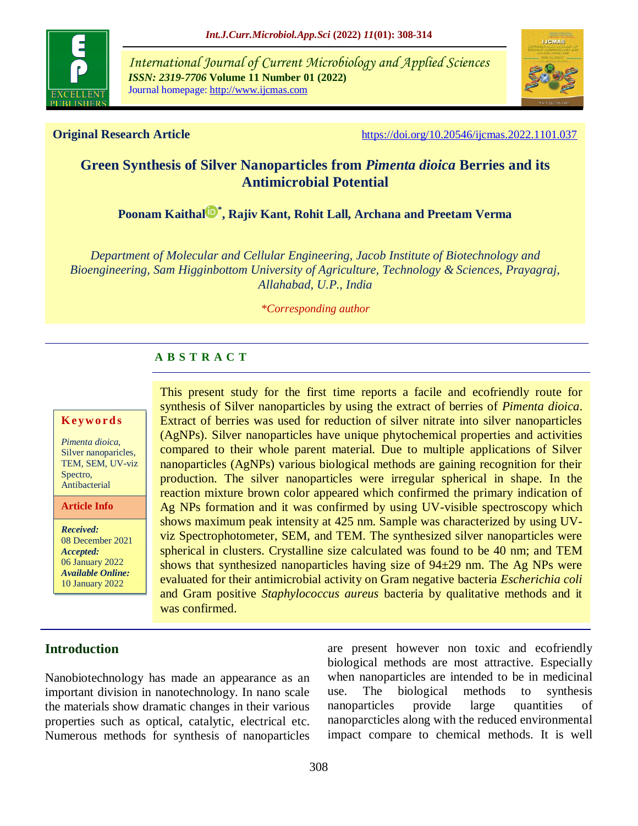

*International Journal of Current Microbiology and Applied Sciences ISSN: 2319-7706* **Volume 11 Number 01 (2022)**  Journal homepage: http://www.ijcmas.com



**Original Research Article** <https://doi.org/10.20546/ijcmas.2022.1101.037>

# **Green Synthesis of Silver Nanoparticles from** *Pimenta dioica* **Berries and its Antimicrobial Potential**

**[Poonam Kaithal](https://orcid.org/0000-0003-4644-2106) \* , Rajiv Kant, Rohit Lall, Archana and Preetam Verma**

*Department of Molecular and Cellular Engineering, Jacob Institute of Biotechnology and Bioengineering, Sam Higginbottom University of Agriculture, Technology & Sciences, Prayagraj, Allahabad, U.P., India*

#### *\*Corresponding author*

# **A B S T R A C T**

#### **K ey w o rd s**

*Pimenta dioica*, Silver nanoparicles, TEM, SEM, UV-viz Spectro, Antibacterial

**Article Info**

*Received:*  08 December 2021 *Accepted:*  06 January 2022 *Available Online:* 10 January 2022

This present study for the first time reports a facile and ecofriendly route for synthesis of Silver nanoparticles by using the extract of berries of *Pimenta dioica*. Extract of berries was used for reduction of silver nitrate into silver nanoparticles (AgNPs). Silver nanoparticles have unique phytochemical properties and activities compared to their whole parent material. Due to multiple applications of Silver nanoparticles (AgNPs) various biological methods are gaining recognition for their production. The silver nanoparticles were irregular spherical in shape. In the reaction mixture brown color appeared which confirmed the primary indication of Ag NPs formation and it was confirmed by using UV-visible spectroscopy which shows maximum peak intensity at 425 nm. Sample was characterized by using UVviz Spectrophotometer, SEM, and TEM. The synthesized silver nanoparticles were spherical in clusters. Crystalline size calculated was found to be 40 nm; and TEM shows that synthesized nanoparticles having size of  $94\pm29$  nm. The Ag NPs were evaluated for their antimicrobial activity on Gram negative bacteria *Escherichia coli* and Gram positive *Staphylococcus aureus* bacteria by qualitative methods and it was confirmed.

# **Introduction**

Nanobiotechnology has made an appearance as an important division in nanotechnology. In nano scale the materials show dramatic changes in their various properties such as optical, catalytic, electrical etc. Numerous methods for synthesis of nanoparticles are present however non toxic and ecofriendly biological methods are most attractive. Especially when nanoparticles are intended to be in medicinal use. The biological methods to synthesis nanoparticles provide large quantities of nanoparcticles along with the reduced environmental impact compare to chemical methods. It is well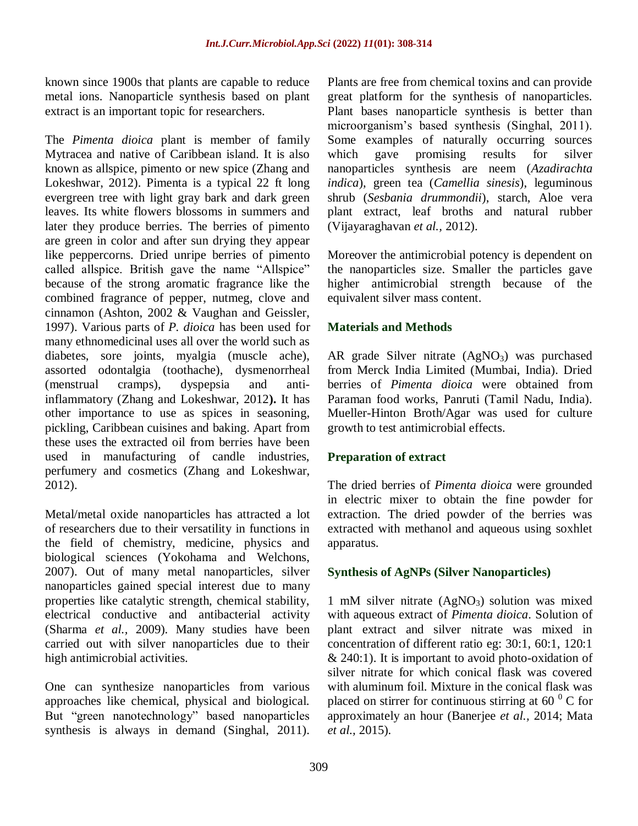known since 1900s that plants are capable to reduce metal ions. Nanoparticle synthesis based on plant extract is an important topic for researchers.

The *Pimenta dioica* plant is member of family Mytracea and native of Caribbean island. It is also known as allspice, pimento or new spice (Zhang and Lokeshwar, 2012). Pimenta is a typical 22 ft long evergreen tree with light gray bark and dark green leaves. Its white flowers blossoms in summers and later they produce berries. The berries of pimento are green in color and after sun drying they appear like peppercorns. Dried unripe berries of pimento called allspice. British gave the name "Allspice" because of the strong aromatic fragrance like the combined fragrance of pepper, nutmeg, clove and cinnamon (Ashton, 2002 & Vaughan and Geissler, 1997). Various parts of *P. dioica* has been used for many ethnomedicinal uses all over the world such as diabetes, sore joints, myalgia (muscle ache), assorted odontalgia (toothache), dysmenorrheal (menstrual cramps), dyspepsia and antiinflammatory (Zhang and Lokeshwar, 2012**).** It has other importance to use as spices in seasoning, pickling, Caribbean cuisines and baking. Apart from these uses the extracted oil from berries have been used in manufacturing of candle industries, perfumery and cosmetics (Zhang and Lokeshwar, 2012).

Metal/metal oxide nanoparticles has attracted a lot of researchers due to their versatility in functions in the field of chemistry, medicine, physics and biological sciences (Yokohama and Welchons, 2007). Out of many metal nanoparticles, silver nanoparticles gained special interest due to many properties like catalytic strength, chemical stability, electrical conductive and antibacterial activity (Sharma *et al.,* 2009). Many studies have been carried out with silver nanoparticles due to their high antimicrobial activities.

One can synthesize nanoparticles from various approaches like chemical, physical and biological. But "green nanotechnology" based nanoparticles synthesis is always in demand (Singhal, 2011). Plants are free from chemical toxins and can provide great platform for the synthesis of nanoparticles. Plant bases nanoparticle synthesis is better than microorganism's based synthesis (Singhal, 2011). Some examples of naturally occurring sources which gave promising results for silver nanoparticles synthesis are neem (*Azadirachta indica*), green tea (*Camellia sinesis*), leguminous shrub (*Sesbania drummondii*), starch, Aloe vera plant extract, leaf broths and natural rubber (Vijayaraghavan *et al.,* 2012).

Moreover the antimicrobial potency is dependent on the nanoparticles size. Smaller the particles gave higher antimicrobial strength because of the equivalent silver mass content.

# **Materials and Methods**

AR grade Silver nitrate  $(AgNO<sub>3</sub>)$  was purchased from Merck India Limited (Mumbai, India). Dried berries of *Pimenta dioica* were obtained from Paraman food works, Panruti (Tamil Nadu, India). Mueller-Hinton Broth/Agar was used for culture growth to test antimicrobial effects.

# **Preparation of extract**

The dried berries of *Pimenta dioica* were grounded in electric mixer to obtain the fine powder for extraction. The dried powder of the berries was extracted with methanol and aqueous using soxhlet apparatus.

# **Synthesis of AgNPs (Silver Nanoparticles)**

1 mM silver nitrate  $(AgNO<sub>3</sub>)$  solution was mixed with aqueous extract of *Pimenta dioica*. Solution of plant extract and silver nitrate was mixed in concentration of different ratio eg: 30:1, 60:1, 120:1  $& 240:1$ ). It is important to avoid photo-oxidation of silver nitrate for which conical flask was covered with aluminum foil. Mixture in the conical flask was placed on stirrer for continuous stirring at  $60<sup>0</sup>$  C for approximately an hour (Banerjee *et al.,* 2014; Mata *et al.,* 2015).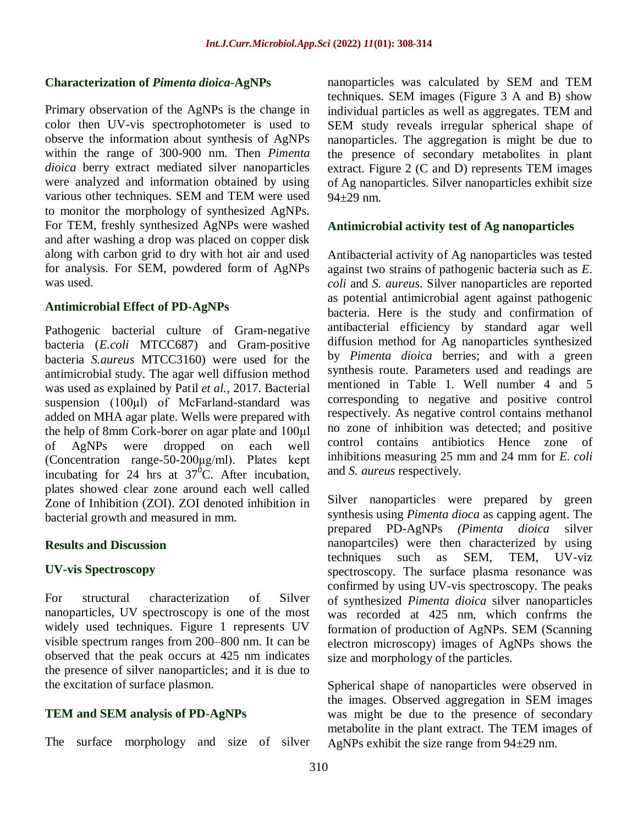#### **Characterization of** *Pimenta dioica***-AgNPs**

Primary observation of the AgNPs is the change in color then UV-vis spectrophotometer is used to observe the information about synthesis of AgNPs within the range of 300-900 nm. Then *Pimenta dioica* berry extract mediated silver nanoparticles were analyzed and information obtained by using various other techniques. SEM and TEM were used to monitor the morphology of synthesized AgNPs. For TEM, freshly synthesized AgNPs were washed and after washing a drop was placed on copper disk along with carbon grid to dry with hot air and used for analysis. For SEM, powdered form of AgNPs was used.

#### **Antimicrobial Effect of PD-AgNPs**

Pathogenic bacterial culture of Gram-negative bacteria (*E.coli* MTCC687) and Gram-positive bacteria *S.aureus* MTCC3160) were used for the antimicrobial study. The agar well diffusion method was used as explained by Patil *et al.,* 2017. Bacterial suspension (100μl) of McFarland-standard was added on MHA agar plate. Wells were prepared with the help of 8mm Cork-borer on agar plate and 100μl of AgNPs were dropped on each well (Concentration range-50-200μg/ml). Plates kept incubating for 24 hrs at  $37^{\circ}$ C. After incubation, plates showed clear zone around each well called Zone of Inhibition (ZOI). ZOI denoted inhibition in bacterial growth and measured in mm.

#### **Results and Discussion**

#### **UV-vis Spectroscopy**

For structural characterization of Silver nanoparticles, UV spectroscopy is one of the most widely used techniques. Figure 1 represents UV visible spectrum ranges from 200–800 nm. It can be observed that the peak occurs at 425 nm indicates the presence of silver nanoparticles; and it is due to the excitation of surface plasmon.

### **TEM and SEM analysis of PD-AgNPs**

The surface morphology and size of silver

nanoparticles was calculated by SEM and TEM techniques. SEM images (Figure 3 A and B) show individual particles as well as aggregates. TEM and SEM study reveals irregular spherical shape of nanoparticles. The aggregation is might be due to the presence of secondary metabolites in plant extract. Figure 2 (C and D) represents TEM images of Ag nanoparticles. Silver nanoparticles exhibit size  $94 \pm 29$  nm.

#### **Antimicrobial activity test of Ag nanoparticles**

Antibacterial activity of Ag nanoparticles was tested against two strains of pathogenic bacteria such as *E. coli* and *S. aureus*. Silver nanoparticles are reported as potential antimicrobial agent against pathogenic bacteria. Here is the study and confirmation of antibacterial efficiency by standard agar well diffusion method for Ag nanoparticles synthesized by *Pimenta dioica* berries; and with a green synthesis route. Parameters used and readings are mentioned in Table 1. Well number 4 and 5 corresponding to negative and positive control respectively. As negative control contains methanol no zone of inhibition was detected; and positive control contains antibiotics Hence zone of inhibitions measuring 25 mm and 24 mm for *E. coli* and *S. aureus* respectively.

Silver nanoparticles were prepared by green synthesis using *Pimenta dioca* as capping agent. The prepared PD-AgNPs *(Pimenta dioica* silver nanopartciles) were then characterized by using techniques such as SEM, TEM, UV-viz spectroscopy. The surface plasma resonance was confirmed by using UV-vis spectroscopy. The peaks of synthesized *Pimenta dioica* silver nanoparticles was recorded at 425 nm, which confrms the formation of production of AgNPs. SEM (Scanning electron microscopy) images of AgNPs shows the size and morphology of the particles.

Spherical shape of nanoparticles were observed in the images. Observed aggregation in SEM images was might be due to the presence of secondary metabolite in the plant extract. The TEM images of AgNPs exhibit the size range from 94±29 nm.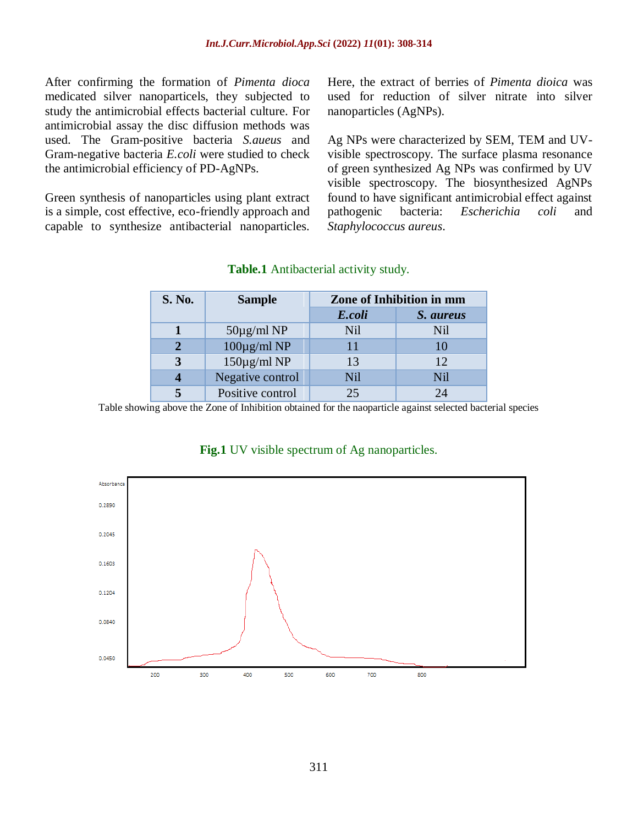After confirming the formation of *Pimenta dioca* medicated silver nanoparticels, they subjected to study the antimicrobial effects bacterial culture. For antimicrobial assay the disc diffusion methods was used. The Gram-positive bacteria *S.aueus* and Gram-negative bacteria *E.coli* were studied to check the antimicrobial efficiency of PD-AgNPs.

Green synthesis of nanoparticles using plant extract is a simple, cost effective, eco-friendly approach and capable to synthesize antibacterial nanoparticles.

Here, the extract of berries of *Pimenta dioica* was used for reduction of silver nitrate into silver nanoparticles (AgNPs).

Ag NPs were characterized by SEM, TEM and UVvisible spectroscopy. The surface plasma resonance of green synthesized Ag NPs was confirmed by UV visible spectroscopy. The biosynthesized AgNPs found to have significant antimicrobial effect against pathogenic bacteria: *Escherichia coli* and *Staphylococcus aureus*.

| <b>S. No.</b>         | <b>Sample</b>          | <b>Zone of Inhibition in mm</b> |           |
|-----------------------|------------------------|---------------------------------|-----------|
|                       |                        | E.coli                          | S. aureus |
|                       | $50\mu$ g/ml NP        | <b>Nil</b>                      | Nil       |
| $\mathcal{D}_{\cdot}$ | $100\mu\text{g/ml}$ NP | 11                              | 10        |
| 3                     | $150\mu g/ml NP$       | 13                              | 12        |
|                       | Negative control       | Nil                             | Nil       |
| 5                     | Positive control       | 25                              | 24        |

# **Table.1** Antibacterial activity study.

Table showing above the Zone of Inhibition obtained for the naoparticle against selected bacterial species



### **Fig.1** UV visible spectrum of Ag nanoparticles.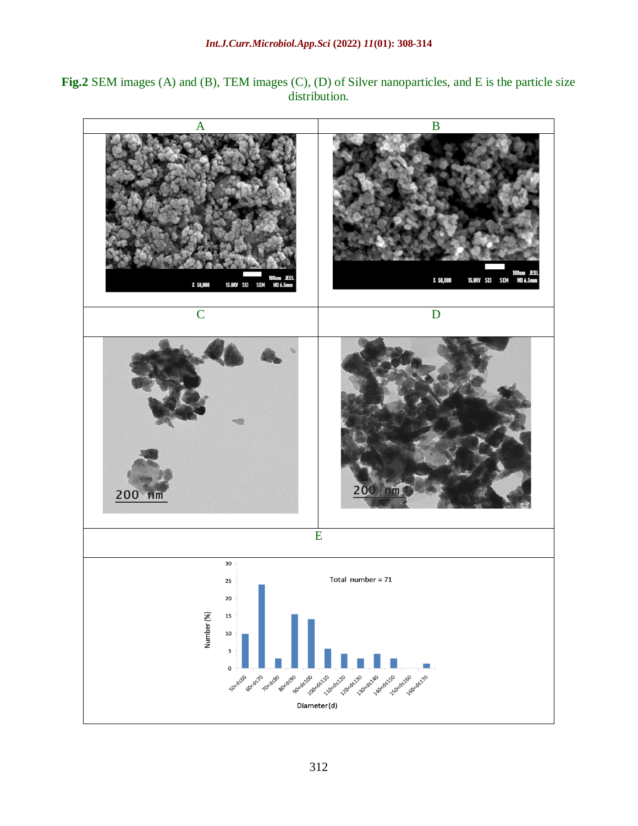**Fig.2** SEM images (A) and (B), TEM images (C), (D) of Silver nanoparticles, and E is the particle size distribution.

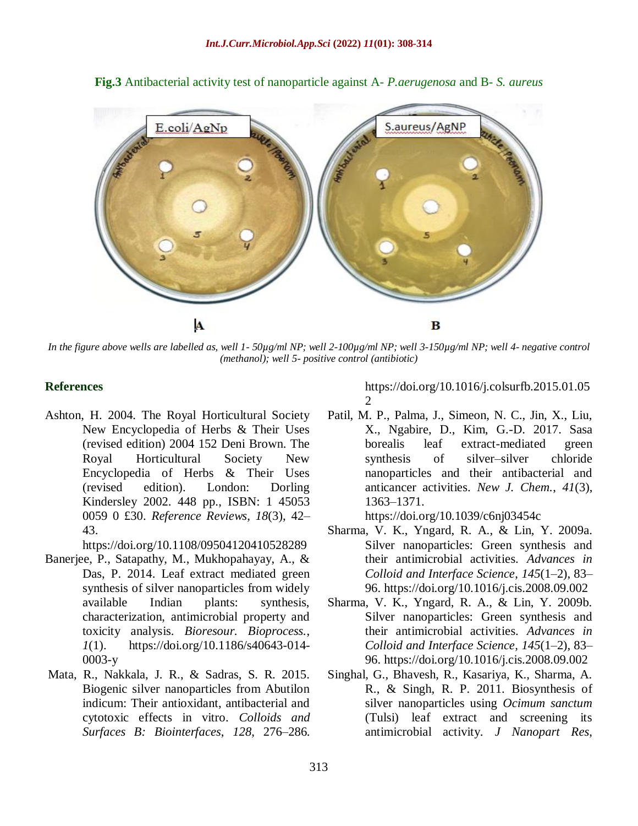

**Fig.3** Antibacterial activity test of nanoparticle against A- *P.aerugenosa* and B- *S. aureus*

*In the figure above wells are labelled as, well 1- 50µg/ml NP; well 2-100µg/ml NP; well 3-150µg/ml NP; well 4- negative control (methanol); well 5- positive control (antibiotic)*

## **References**

Ashton, H. 2004. The Royal Horticultural Society New Encyclopedia of Herbs & Their Uses (revised edition) 2004 152 Deni Brown. The Royal Horticultural Society New Encyclopedia of Herbs & Their Uses (revised edition). London: Dorling Kindersley 2002. 448 pp., ISBN: 1 45053 0059 0 £30. *Reference Reviews*, *18*(3), 42– 43.

<https://doi.org/10.1108/09504120410528289>

- Banerjee, P., Satapathy, M., Mukhopahayay, A., & Das, P. 2014. Leaf extract mediated green synthesis of silver nanoparticles from widely available Indian plants: synthesis, characterization, antimicrobial property and toxicity analysis. *Bioresour. Bioprocess.*, *1*(1). [https://doi.org/10.1186/s40643-014-](https://doi.org/10.1186/s40643-014-0003-y) [0003-y](https://doi.org/10.1186/s40643-014-0003-y)
- Mata, R., Nakkala, J. R., & Sadras, S. R. 2015. Biogenic silver nanoparticles from Abutilon indicum: Their antioxidant, antibacterial and cytotoxic effects in vitro. *Colloids and Surfaces B: Biointerfaces*, *128*, 276–286.

[https://doi.org/10.1016/j.colsurfb.2015.01.05](https://doi.org/10.1016/j.colsurfb.2015.01.052) [2](https://doi.org/10.1016/j.colsurfb.2015.01.052)

Patil, M. P., Palma, J., Simeon, N. C., Jin, X., Liu, X., Ngabire, D., Kim, G.-D. 2017. Sasa borealis leaf extract-mediated green synthesis of silver–silver chloride nanoparticles and their antibacterial and anticancer activities. *New J. Chem.*, *41*(3), 1363–1371.

<https://doi.org/10.1039/c6nj03454c>

- Sharma, V. K., Yngard, R. A., & Lin, Y. 2009a. Silver nanoparticles: Green synthesis and their antimicrobial activities. *Advances in Colloid and Interface Science*, *145*(1–2), 83– 96.<https://doi.org/10.1016/j.cis.2008.09.002>
- Sharma, V. K., Yngard, R. A., & Lin, Y. 2009b. Silver nanoparticles: Green synthesis and their antimicrobial activities. *Advances in Colloid and Interface Science*, *145*(1–2), 83– 96.<https://doi.org/10.1016/j.cis.2008.09.002>
- Singhal, G., Bhavesh, R., Kasariya, K., Sharma, A. R., & Singh, R. P. 2011. Biosynthesis of silver nanoparticles using *Ocimum sanctum* (Tulsi) leaf extract and screening its antimicrobial activity. *J Nanopart Res*,